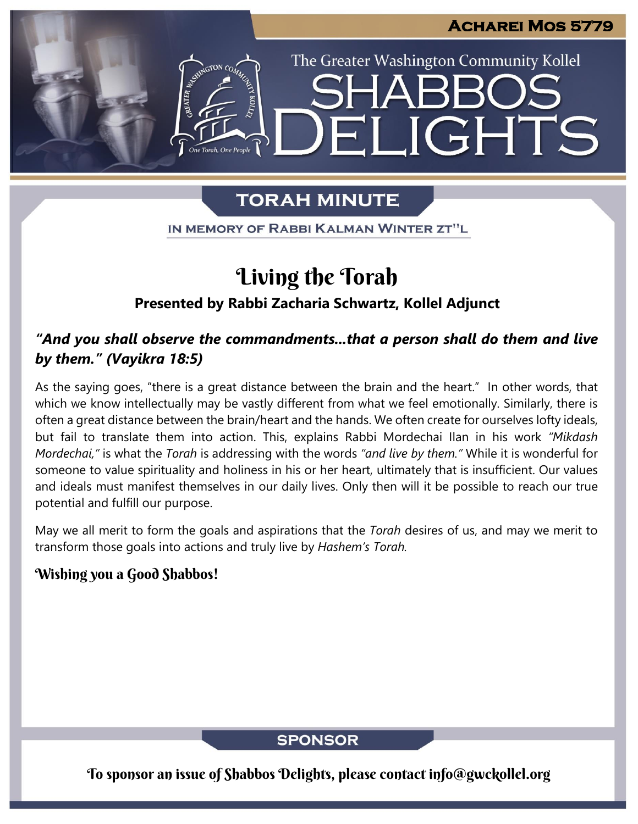LIGHTS

The Greater Washington Community Kollel

## **TORAH MINUTE**

HH

IN MEMORY OF RABBI KALMAN WINTER ZT"L

# Living the Torah

## **Presented by Rabbi Zacharia Schwartz, Kollel Adjunct**

## *"And you shall observe the commandments...that a person shall do them and live by them." (Vayikra 18:5)*

As the saying goes, "there is a great distance between the brain and the heart." In other words, that which we know intellectually may be vastly different from what we feel emotionally. Similarly, there is often a great distance between the brain/heart and the hands. We often create for ourselves lofty ideals, but fail to translate them into action. This, explains Rabbi Mordechai Ilan in his work *"Mikdash Mordechai,"* is what the *Torah* is addressing with the words *"and live by them."* While it is wonderful for someone to value spirituality and holiness in his or her heart, ultimately that is insufficient. Our values and ideals must manifest themselves in our daily lives. Only then will it be possible to reach our true potential and fulfill our purpose.

May we all merit to form the goals and aspirations that the *Torah* desires of us, and may we merit to transform those goals into actions and truly live by *Hashem's Torah.*

### Wishing you a Good Shabbos!

**SPONSOR** 

To sponsor an issue of Shabbos Delights, please contact info@gwckollel.org